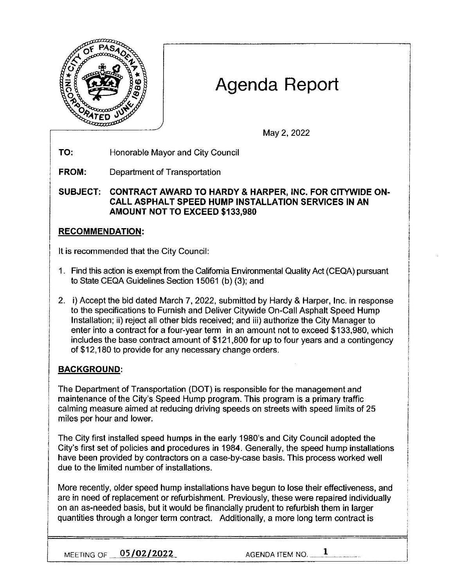

# **Agenda Report**

May 2, 2022

**TO:**  Honorable Mayor and City Council

**FROM:**  Department of Transportation

SUBJECT: CONTRACT AWARD TO HARDY & HARPER, INC. FOR CITYWIDE ON-**CALL ASPHALT SPEED HUMP INSTALLATION SERVICES IN AN AMOUNT NOT TO EXCEED \$133,980** 

# **RECOMMENDATION:**

It is recommended that the City Council:

- 1. Find this action is exempt from the California Environmental Quality Act (CEQA) pursuant to State CEQA Guidelines Section 15061 (b) (3); and
- 2. i) Accept the bid dated March 7, 2022, submitted by Hardy & Harper, Inc. in response to the specifications to Furnish and Deliver Citywide On-Call Asphalt Speed Hump Installation; ii) reject all other bids received; and iii) authorize the City Manager to enter into a contract for a four-year term in an amount not to exceed \$133,980, which includes the base contract amount of \$121,800 for up to four years and a contingency of \$12,180 to provide for any necessary change orders.

# **BACKGROUND:**

The Department of Transportation (DOT) is responsible for the management and maintenance of the City's Speed Hump program. This program is a primary traffic calming measure aimed at reducing driving speeds on streets with speed limits of 25 miles per hour and lower.

The City first installed speed humps in the early 1980's and City Council adopted the City's first set of policies and procedures in 1984. Generally, the speed hump installations have been provided by contractors on a case-by-case basis. This process worked well due to the limited number of installations.

More recently, older speed hump installations have begun to lose their effectiveness, and are in need of replacement or refurbishment. Previously, these were repaired individually on an as-needed basis, but it would be financially prudent to refurbish them in larger quantities through a longer term contract. Additionally, a more long term contract is

MEETING OF **05/02/2022** AGENDA ITEM NO.  $\frac{1}{2}$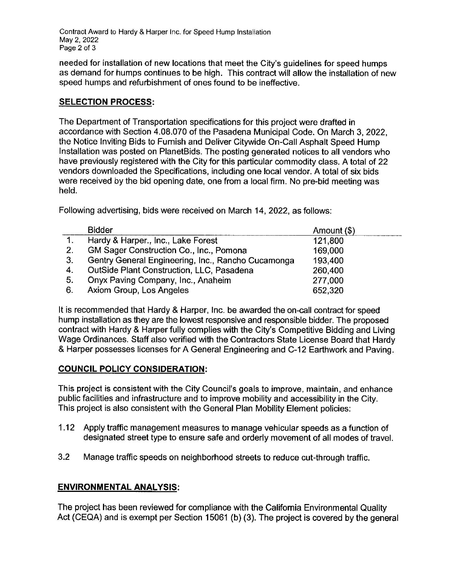Contract Award to Hardy & Harper Inc. for Speed Hump Installation May 2, 2022 Page 2 of 3

needed for installation of new locations that meet the City's guidelines for speed humps as demand for humps continues to be high. This contract will allow the installation of new speed humps and refurbishment of ones found to be ineffective.

#### **SELECTION PROCESS:**

The Department of Transportation specifications for this project were drafted in accordance with Section 4.08.070 of the Pasadena Municipal Code. On March 3, 2022, the Notice Inviting Bids to Furnish and Deliver Citywide On-Call Asphalt Speed Hump Installation was posted on PlanetBids. The posting generated notices to all vendors who have previously registered with the City for this particular commodity class. A total of 22 vendors downloaded the Specifications, including one local vendor. A total of six bids were received by the bid opening date, one from a local firm. No pre-bid meeting was held.

Following advertising, bids were received on March 14, 2022, as follows:

|              | <b>Bidder</b>                                      | Amount (\$) |  |
|--------------|----------------------------------------------------|-------------|--|
| $\mathbf{1}$ | Hardy & Harper., Inc., Lake Forest                 | 121,800     |  |
| 2.           | GM Sager Construction Co., Inc., Pomona            | 169,000     |  |
| 3.           | Gentry General Engineering, Inc., Rancho Cucamonga | 193,400     |  |
| 4.           | OutSide Plant Construction, LLC, Pasadena          | 260,400     |  |
| 5.           | Onyx Paving Company, Inc., Anaheim                 | 277,000     |  |
| 6.           | Axiom Group, Los Angeles                           | 652,320     |  |

It is recommended that Hardy & Harper, Inc. be awarded the on-call contract for speed hump installation as they are the lowest responsive and responsible bidder. The proposed contract with Hardy & Harper fully complies with the City's Competitive Bidding and Living Wage Ordinances. Staff also verified with the Contractors State License Board that Hardy & Harper possesses licenses for A General Engineering and C-12 Earthwork and Paving.

# **COUNCIL POLICY CONSIDERATION:**

This project is consistent with the City Council's goals to improve, maintain, and enhance public facilities and infrastructure and to improve mobility and accessibility in the City. This project is also consistent with the General Plan Mobility Element policies:

- 1.12 Apply traffic management measures to manage vehicular speeds as a function of designated street type to ensure safe and orderly movement of all modes of travel.
- 3.2 Manage traffic speeds on neighborhood streets to reduce cut-through traffic.

# **ENVIRONMENTAL ANALYSIS:**

The project has been reviewed for compliance with the California Environmental Quality Act (CEQA) and is exempt per Section 15061 (b) (3). The project is covered by the general